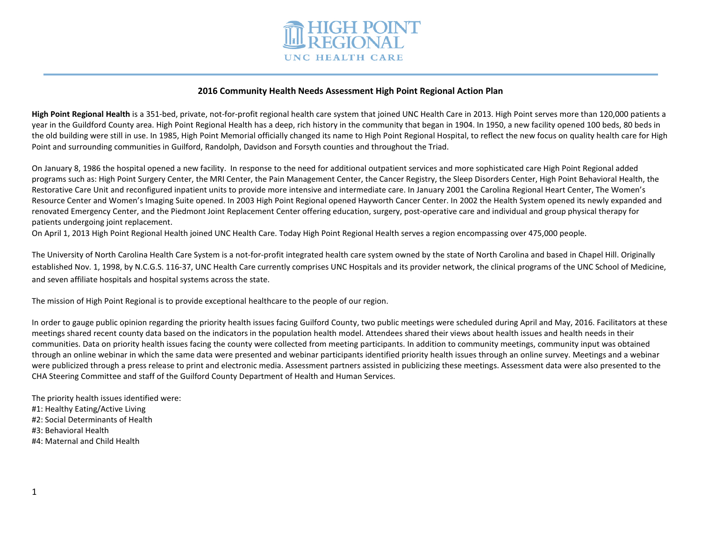

# **2016 Community Health Needs Assessment High Point Regional Action Plan**

**High Point Regional Health** is a 351-bed, private, not-for-profit regional health care system that joined UNC Health Care in 2013. High Point serves more than 120,000 patients a year in the Guildford County area. High Point Regional Health has a deep, rich history in the community that began in 1904. In 1950, a new facility opened 100 beds, 80 beds in the old building were still in use. In 1985, High Point Memorial officially changed its name to High Point Regional Hospital, to reflect the new focus on quality health care for High Point and surrounding communities in Guilford, Randolph, Davidson and Forsyth counties and throughout the Triad.

On January 8, 1986 the hospital opened a new facility. In response to the need for additional outpatient services and more sophisticated care High Point Regional added programs such as: High Point Surgery Center, the MRI Center, the Pain Management Center, the Cancer Registry, the Sleep Disorders Center, High Point Behavioral Health, the Restorative Care Unit and reconfigured inpatient units to provide more intensive and intermediate care. In January 2001 the Carolina Regional Heart Center, The Women's Resource Center and Women's Imaging Suite opened. In 2003 High Point Regional opened Hayworth Cancer Center. In 2002 the Health System opened its newly expanded and renovated Emergency Center, and the Piedmont Joint Replacement Center offering education, surgery, post-operative care and individual and group physical therapy for patients undergoing joint replacement.

On April 1, 2013 High Point Regional Health joined UNC Health Care. Today High Point Regional Health serves a region encompassing over 475,000 people.

The University of North Carolina Health Care System is a not-for-profit integrated health care system owned by the state of North Carolina and based in Chapel Hill. Originally established Nov. 1, 1998, by N.C.G.S. 116-37, UNC Health Care currently comprises UNC Hospitals and its provider network, the clinical programs of the UNC School of Medicine, and seven affiliate hospitals and hospital systems across the state.

The mission of High Point Regional is to provide exceptional healthcare to the people of our region.

In order to gauge public opinion regarding the priority health issues facing Guilford County, two public meetings were scheduled during April and May, 2016. Facilitators at these meetings shared recent county data based on the indicators in the population health model. Attendees shared their views about health issues and health needs in their communities. Data on priority health issues facing the county were collected from meeting participants. In addition to community meetings, community input was obtained through an online webinar in which the same data were presented and webinar participants identified priority health issues through an online survey. Meetings and a webinar were publicized through a press release to print and electronic media. Assessment partners assisted in publicizing these meetings. Assessment data were also presented to the CHA Steering Committee and staff of the Guilford County Department of Health and Human Services.

The priority health issues identified were: #1: Healthy Eating/Active Living #2: Social Determinants of Health #3: Behavioral Health #4: Maternal and Child Health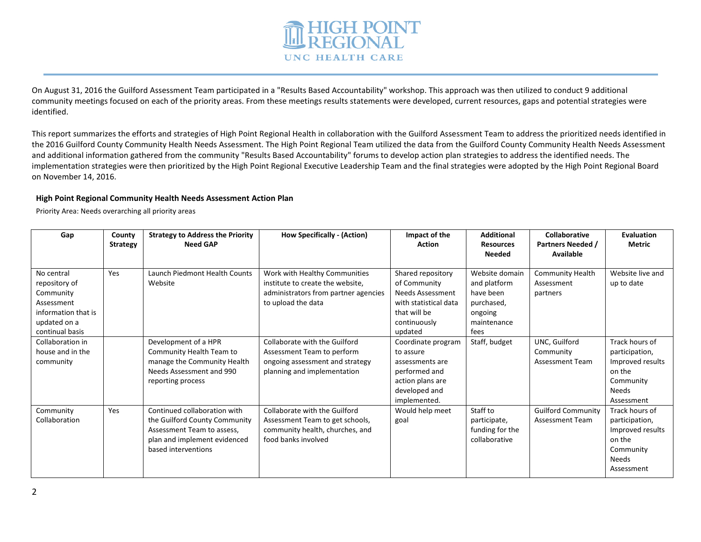

On August 31, 2016 the Guilford Assessment Team participated in a "Results Based Accountability" workshop. This approach was then utilized to conduct 9 additional community meetings focused on each of the priority areas. From these meetings results statements were developed, current resources, gaps and potential strategies were identified.

This report summarizes the efforts and strategies of High Point Regional Health in collaboration with the Guilford Assessment Team to address the prioritized needs identified in the 2016 Guilford County Community Health Needs Assessment. The High Point Regional Team utilized the data from the Guilford County Community Health Needs Assessment and additional information gathered from the community "Results Based Accountability" forums to develop action plan strategies to address the identified needs. The implementation strategies were then prioritized by the High Point Regional Executive Leadership Team and the final strategies were adopted by the High Point Regional Board on November 14, 2016.

# **High Point Regional Community Health Needs Assessment Action Plan**

Priority Area: Needs overarching all priority areas

| Gap                                                                                                              | County<br><b>Strategy</b> | <b>Strategy to Address the Priority</b><br><b>Need GAP</b>                                                                                         | <b>How Specifically - (Action)</b>                                                                                              | Impact of the<br><b>Action</b>                                                                                            | <b>Additional</b><br><b>Resources</b><br><b>Needed</b>                                      | Collaborative<br><b>Partners Needed /</b><br>Available | <b>Evaluation</b><br><b>Metric</b>                                                                 |
|------------------------------------------------------------------------------------------------------------------|---------------------------|----------------------------------------------------------------------------------------------------------------------------------------------------|---------------------------------------------------------------------------------------------------------------------------------|---------------------------------------------------------------------------------------------------------------------------|---------------------------------------------------------------------------------------------|--------------------------------------------------------|----------------------------------------------------------------------------------------------------|
| No central<br>repository of<br>Community<br>Assessment<br>information that is<br>updated on a<br>continual basis | Yes                       | Launch Piedmont Health Counts<br>Website                                                                                                           | Work with Healthy Communities<br>institute to create the website,<br>administrators from partner agencies<br>to upload the data | Shared repository<br>of Community<br>Needs Assessment<br>with statistical data<br>that will be<br>continuously<br>updated | Website domain<br>and platform<br>have been<br>purchased,<br>ongoing<br>maintenance<br>fees | <b>Community Health</b><br>Assessment<br>partners      | Website live and<br>up to date                                                                     |
| Collaboration in<br>house and in the<br>community                                                                |                           | Development of a HPR<br>Community Health Team to<br>manage the Community Health<br>Needs Assessment and 990<br>reporting process                   | Collaborate with the Guilford<br>Assessment Team to perform<br>ongoing assessment and strategy<br>planning and implementation   | Coordinate program<br>to assure<br>assessments are<br>performed and<br>action plans are<br>developed and<br>implemented.  | Staff, budget                                                                               | UNC, Guilford<br>Community<br><b>Assessment Team</b>   | Track hours of<br>participation,<br>Improved results<br>on the<br>Community<br>Needs<br>Assessment |
| Community<br>Collaboration                                                                                       | Yes                       | Continued collaboration with<br>the Guilford County Community<br>Assessment Team to assess,<br>plan and implement evidenced<br>based interventions | Collaborate with the Guilford<br>Assessment Team to get schools,<br>community health, churches, and<br>food banks involved      | Would help meet<br>goal                                                                                                   | Staff to<br>participate,<br>funding for the<br>collaborative                                | <b>Guilford Community</b><br><b>Assessment Team</b>    | Track hours of<br>participation,<br>Improved results<br>on the<br>Community<br>Needs<br>Assessment |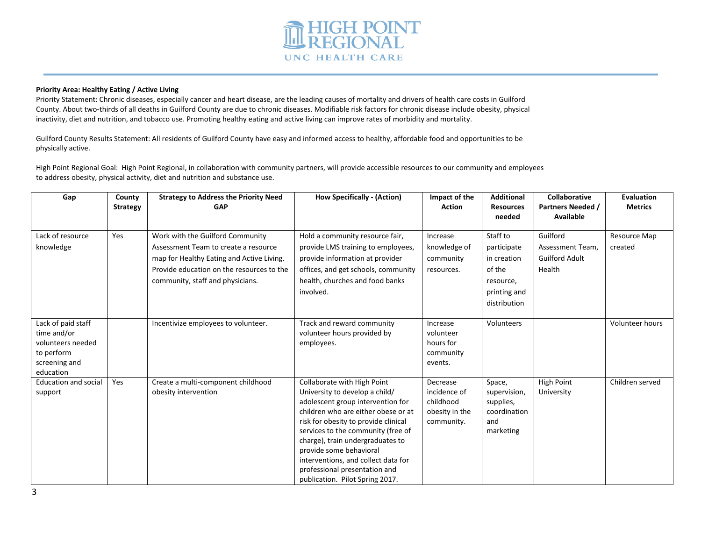

#### **Priority Area: Healthy Eating / Active Living**

Priority Statement: Chronic diseases, especially cancer and heart disease, are the leading causes of mortality and drivers of health care costs in Guilford County. About two-thirds of all deaths in Guilford County are due to chronic diseases. Modifiable risk factors for chronic disease include obesity, physical inactivity, diet and nutrition, and tobacco use. Promoting healthy eating and active living can improve rates of morbidity and mortality.

Guilford County Results Statement: All residents of Guilford County have easy and informed access to healthy, affordable food and opportunities to be physically active.

High Point Regional Goal: High Point Regional, in collaboration with community partners, will provide accessible resources to our community and employees to address obesity, physical activity, diet and nutrition and substance use.

| Gap                                                                                                | County<br><b>Strategy</b> | <b>Strategy to Address the Priority Need</b><br><b>GAP</b>                                                                                                                                             | <b>How Specifically - (Action)</b>                                                                                                                                                                                                                                                                                                                                                                | Impact of the<br><b>Action</b>                                        | <b>Additional</b><br><b>Resources</b><br>needed                                               | <b>Collaborative</b><br><b>Partners Needed /</b><br>Available   | <b>Evaluation</b><br><b>Metrics</b> |
|----------------------------------------------------------------------------------------------------|---------------------------|--------------------------------------------------------------------------------------------------------------------------------------------------------------------------------------------------------|---------------------------------------------------------------------------------------------------------------------------------------------------------------------------------------------------------------------------------------------------------------------------------------------------------------------------------------------------------------------------------------------------|-----------------------------------------------------------------------|-----------------------------------------------------------------------------------------------|-----------------------------------------------------------------|-------------------------------------|
| Lack of resource<br>knowledge                                                                      | Yes                       | Work with the Guilford Community<br>Assessment Team to create a resource<br>map for Healthy Eating and Active Living.<br>Provide education on the resources to the<br>community, staff and physicians. | Hold a community resource fair,<br>provide LMS training to employees,<br>provide information at provider<br>offices, and get schools, community<br>health, churches and food banks<br>involved.                                                                                                                                                                                                   | Increase<br>knowledge of<br>community<br>resources.                   | Staff to<br>participate<br>in creation<br>of the<br>resource,<br>printing and<br>distribution | Guilford<br>Assessment Team.<br><b>Guilford Adult</b><br>Health | Resource Map<br>created             |
| Lack of paid staff<br>time and/or<br>volunteers needed<br>to perform<br>screening and<br>education |                           | Incentivize employees to volunteer.                                                                                                                                                                    | Track and reward community<br>volunteer hours provided by<br>employees.                                                                                                                                                                                                                                                                                                                           | Increase<br>volunteer<br>hours for<br>community<br>events.            | Volunteers                                                                                    |                                                                 | Volunteer hours                     |
| <b>Education and social</b><br>support                                                             | Yes                       | Create a multi-component childhood<br>obesity intervention                                                                                                                                             | Collaborate with High Point<br>University to develop a child/<br>adolescent group intervention for<br>children who are either obese or at<br>risk for obesity to provide clinical<br>services to the community (free of<br>charge), train undergraduates to<br>provide some behavioral<br>interventions, and collect data for<br>professional presentation and<br>publication. Pilot Spring 2017. | Decrease<br>incidence of<br>childhood<br>obesity in the<br>community. | Space,<br>supervision,<br>supplies,<br>coordination<br>and<br>marketing                       | <b>High Point</b><br>University                                 | Children served                     |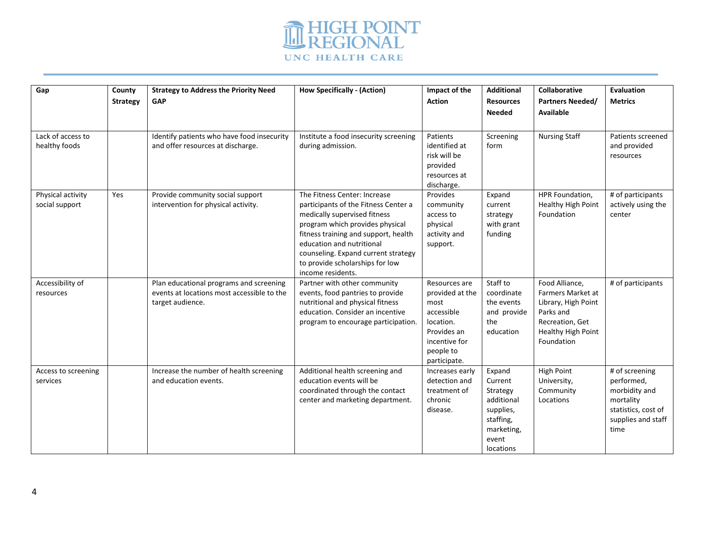

| Gap                                | County<br><b>Strategy</b> | <b>Strategy to Address the Priority Need</b><br>GAP                             | <b>How Specifically - (Action)</b>                         | Impact of the<br><b>Action</b> | <b>Additional</b><br><b>Resources</b> | <b>Collaborative</b><br><b>Partners Needed/</b> | Evaluation<br><b>Metrics</b>      |
|------------------------------------|---------------------------|---------------------------------------------------------------------------------|------------------------------------------------------------|--------------------------------|---------------------------------------|-------------------------------------------------|-----------------------------------|
|                                    |                           |                                                                                 |                                                            |                                | <b>Needed</b>                         | Available                                       |                                   |
|                                    |                           |                                                                                 |                                                            |                                |                                       |                                                 |                                   |
|                                    |                           |                                                                                 |                                                            |                                |                                       |                                                 |                                   |
| Lack of access to<br>healthy foods |                           | Identify patients who have food insecurity<br>and offer resources at discharge. | Institute a food insecurity screening<br>during admission. | Patients<br>identified at      | Screening<br>form                     | <b>Nursing Staff</b>                            | Patients screened<br>and provided |
|                                    |                           |                                                                                 |                                                            | risk will be                   |                                       |                                                 | resources                         |
|                                    |                           |                                                                                 |                                                            | provided                       |                                       |                                                 |                                   |
|                                    |                           |                                                                                 |                                                            | resources at                   |                                       |                                                 |                                   |
|                                    |                           |                                                                                 |                                                            | discharge.                     |                                       |                                                 |                                   |
| Physical activity                  | Yes                       | Provide community social support                                                | The Fitness Center: Increase                               | Provides                       | Expand                                | HPR Foundation,                                 | # of participants                 |
| social support                     |                           | intervention for physical activity.                                             | participants of the Fitness Center a                       | community                      | current                               | Healthy High Point                              | actively using the                |
|                                    |                           |                                                                                 | medically supervised fitness                               | access to                      | strategy                              | Foundation                                      | center                            |
|                                    |                           |                                                                                 | program which provides physical                            | physical                       | with grant                            |                                                 |                                   |
|                                    |                           |                                                                                 | fitness training and support, health                       | activity and                   | funding                               |                                                 |                                   |
|                                    |                           |                                                                                 | education and nutritional                                  | support.                       |                                       |                                                 |                                   |
|                                    |                           |                                                                                 | counseling. Expand current strategy                        |                                |                                       |                                                 |                                   |
|                                    |                           |                                                                                 | to provide scholarships for low<br>income residents.       |                                |                                       |                                                 |                                   |
| Accessibility of                   |                           | Plan educational programs and screening                                         | Partner with other community                               | Resources are                  | Staff to                              | Food Alliance,                                  | # of participants                 |
| resources                          |                           | events at locations most accessible to the                                      | events, food pantries to provide                           | provided at the                | coordinate                            | Farmers Market at                               |                                   |
|                                    |                           | target audience.                                                                | nutritional and physical fitness                           | most                           | the events                            | Library, High Point                             |                                   |
|                                    |                           |                                                                                 | education. Consider an incentive                           | accessible                     | and provide                           | Parks and                                       |                                   |
|                                    |                           |                                                                                 | program to encourage participation.                        | location.                      | the                                   | Recreation, Get                                 |                                   |
|                                    |                           |                                                                                 |                                                            | Provides an                    | education                             | Healthy High Point                              |                                   |
|                                    |                           |                                                                                 |                                                            | incentive for                  |                                       | Foundation                                      |                                   |
|                                    |                           |                                                                                 |                                                            | people to                      |                                       |                                                 |                                   |
|                                    |                           |                                                                                 |                                                            | participate.                   |                                       |                                                 |                                   |
| Access to screening                |                           | Increase the number of health screening                                         | Additional health screening and                            | Increases early                | Expand                                | <b>High Point</b>                               | # of screening                    |
| services                           |                           | and education events.                                                           | education events will be                                   | detection and                  | Current                               | University,                                     | performed,                        |
|                                    |                           |                                                                                 | coordinated through the contact                            | treatment of                   | Strategy                              | Community                                       | morbidity and                     |
|                                    |                           |                                                                                 | center and marketing department.                           | chronic<br>disease.            | additional<br>supplies,               | Locations                                       | mortality<br>statistics, cost of  |
|                                    |                           |                                                                                 |                                                            |                                | staffing,                             |                                                 | supplies and staff                |
|                                    |                           |                                                                                 |                                                            |                                | marketing,                            |                                                 | time                              |
|                                    |                           |                                                                                 |                                                            |                                | event                                 |                                                 |                                   |
|                                    |                           |                                                                                 |                                                            |                                | locations                             |                                                 |                                   |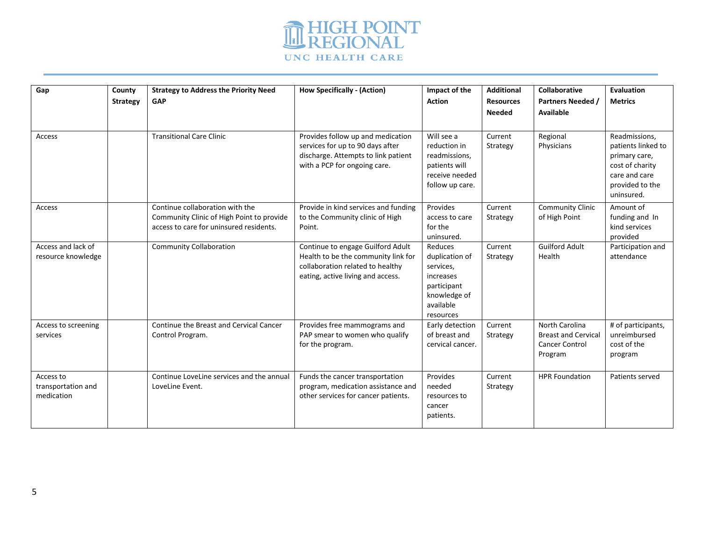

| Gap<br>Access                                 | County<br><b>Strategy</b> | <b>Strategy to Address the Priority Need</b><br><b>GAP</b><br><b>Transitional Care Clinic</b>                           | <b>How Specifically - (Action)</b><br>Provides follow up and medication<br>services for up to 90 days after                                       | Impact of the<br><b>Action</b><br>Will see a<br>reduction in                                                 | <b>Additional</b><br><b>Resources</b><br><b>Needed</b><br>Current<br>Strategy | Collaborative<br><b>Partners Needed /</b><br>Available<br>Regional<br>Physicians        | Evaluation<br><b>Metrics</b><br>Readmissions,<br>patients linked to                |
|-----------------------------------------------|---------------------------|-------------------------------------------------------------------------------------------------------------------------|---------------------------------------------------------------------------------------------------------------------------------------------------|--------------------------------------------------------------------------------------------------------------|-------------------------------------------------------------------------------|-----------------------------------------------------------------------------------------|------------------------------------------------------------------------------------|
|                                               |                           |                                                                                                                         | discharge. Attempts to link patient<br>with a PCP for ongoing care.                                                                               | readmissions,<br>patients will<br>receive needed<br>follow up care.                                          |                                                                               |                                                                                         | primary care,<br>cost of charity<br>care and care<br>provided to the<br>uninsured. |
| Access                                        |                           | Continue collaboration with the<br>Community Clinic of High Point to provide<br>access to care for uninsured residents. | Provide in kind services and funding<br>to the Community clinic of High<br>Point.                                                                 | Provides<br>access to care<br>for the<br>uninsured.                                                          | Current<br>Strategy                                                           | <b>Community Clinic</b><br>of High Point                                                | Amount of<br>funding and In<br>kind services<br>provided                           |
| Access and lack of<br>resource knowledge      |                           | <b>Community Collaboration</b>                                                                                          | Continue to engage Guilford Adult<br>Health to be the community link for<br>collaboration related to healthy<br>eating, active living and access. | Reduces<br>duplication of<br>services,<br>increases<br>participant<br>knowledge of<br>available<br>resources | Current<br>Strategy                                                           | <b>Guilford Adult</b><br>Health                                                         | Participation and<br>attendance                                                    |
| Access to screening<br>services               |                           | Continue the Breast and Cervical Cancer<br>Control Program.                                                             | Provides free mammograms and<br>PAP smear to women who qualify<br>for the program.                                                                | Early detection<br>of breast and<br>cervical cancer.                                                         | Current<br>Strategy                                                           | <b>North Carolina</b><br><b>Breast and Cervical</b><br><b>Cancer Control</b><br>Program | # of participants,<br>unreimbursed<br>cost of the<br>program                       |
| Access to<br>transportation and<br>medication |                           | Continue LoveLine services and the annual<br>LoveLine Event.                                                            | Funds the cancer transportation<br>program, medication assistance and<br>other services for cancer patients.                                      | Provides<br>needed<br>resources to<br>cancer<br>patients.                                                    | Current<br>Strategy                                                           | <b>HPR Foundation</b>                                                                   | Patients served                                                                    |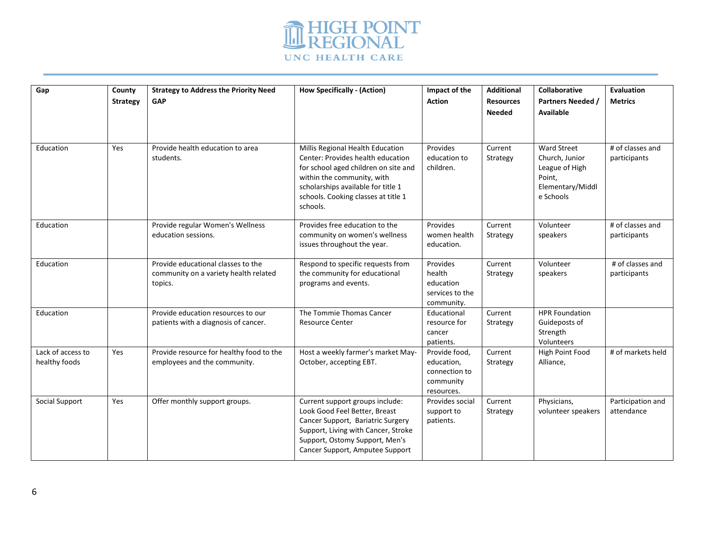

| Gap               | County          | <b>Strategy to Address the Priority Need</b> | <b>How Specifically - (Action)</b>                    | Impact of the           | <b>Additional</b> | <b>Collaborative</b>  | Evaluation        |
|-------------------|-----------------|----------------------------------------------|-------------------------------------------------------|-------------------------|-------------------|-----------------------|-------------------|
|                   | <b>Strategy</b> | <b>GAP</b>                                   |                                                       | <b>Action</b>           | <b>Resources</b>  | Partners Needed       | <b>Metrics</b>    |
|                   |                 |                                              |                                                       |                         | <b>Needed</b>     | <b>Available</b>      |                   |
|                   |                 |                                              |                                                       |                         |                   |                       |                   |
|                   |                 |                                              |                                                       |                         |                   |                       |                   |
| Education         | <b>Yes</b>      | Provide health education to area             | Millis Regional Health Education                      | Provides                | Current           | <b>Ward Street</b>    | # of classes and  |
|                   |                 | students.                                    | Center: Provides health education                     | education to            | Strategy          | Church, Junior        | participants      |
|                   |                 |                                              | for school aged children on site and                  | children.               |                   | League of High        |                   |
|                   |                 |                                              | within the community, with                            |                         |                   | Point.                |                   |
|                   |                 |                                              | scholarships available for title 1                    |                         |                   | Elementary/Middl      |                   |
|                   |                 |                                              | schools. Cooking classes at title 1                   |                         |                   | e Schools             |                   |
|                   |                 |                                              | schools.                                              |                         |                   |                       |                   |
| Education         |                 | Provide regular Women's Wellness             | Provides free education to the                        | Provides                | Current           | Volunteer             | # of classes and  |
|                   |                 | education sessions.                          | community on women's wellness                         | women health            | Strategy          | speakers              | participants      |
|                   |                 |                                              | issues throughout the year.                           | education.              |                   |                       |                   |
|                   |                 |                                              |                                                       |                         |                   |                       |                   |
| Education         |                 | Provide educational classes to the           | Respond to specific requests from                     | Provides                | Current           | Volunteer             | # of classes and  |
|                   |                 | community on a variety health related        | the community for educational<br>programs and events. | health<br>education     | Strategy          | speakers              | participants      |
|                   |                 | topics.                                      |                                                       | services to the         |                   |                       |                   |
|                   |                 |                                              |                                                       | community.              |                   |                       |                   |
| Education         |                 | Provide education resources to our           | The Tommie Thomas Cancer                              | Educational             | Current           | <b>HPR Foundation</b> |                   |
|                   |                 | patients with a diagnosis of cancer.         | <b>Resource Center</b>                                | resource for            | Strategy          | Guideposts of         |                   |
|                   |                 |                                              |                                                       | cancer                  |                   | Strength              |                   |
|                   |                 |                                              |                                                       | patients.               |                   | Volunteers            |                   |
| Lack of access to | Yes             | Provide resource for healthy food to the     | Host a weekly farmer's market May-                    | Provide food.           | Current           | High Point Food       | # of markets held |
| healthy foods     |                 | employees and the community.                 | October, accepting EBT.                               | education,              | Strategy          | Alliance,             |                   |
|                   |                 |                                              |                                                       | connection to           |                   |                       |                   |
|                   |                 |                                              |                                                       | community<br>resources. |                   |                       |                   |
| Social Support    | Yes             | Offer monthly support groups.                | Current support groups include:                       | Provides social         | Current           | Physicians,           | Participation and |
|                   |                 |                                              | Look Good Feel Better, Breast                         | support to              | Strategy          | volunteer speakers    | attendance        |
|                   |                 |                                              | Cancer Support, Bariatric Surgery                     | patients.               |                   |                       |                   |
|                   |                 |                                              | Support, Living with Cancer, Stroke                   |                         |                   |                       |                   |
|                   |                 |                                              | Support, Ostomy Support, Men's                        |                         |                   |                       |                   |
|                   |                 |                                              | Cancer Support, Amputee Support                       |                         |                   |                       |                   |
|                   |                 |                                              |                                                       |                         |                   |                       |                   |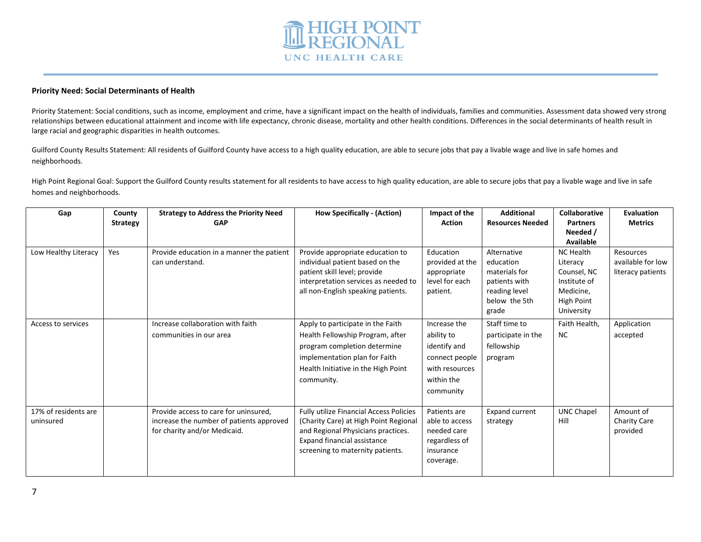

## **Priority Need: Social Determinants of Health**

Priority Statement: Social conditions, such as income, employment and crime, have a significant impact on the health of individuals, families and communities. Assessment data showed very strong relationships between educational attainment and income with life expectancy, chronic disease, mortality and other health conditions. Differences in the social determinants of health result in large racial and geographic disparities in health outcomes.

Guilford County Results Statement: All residents of Guilford County have access to a high quality education, are able to secure jobs that pay a livable wage and live in safe homes and neighborhoods.

High Point Regional Goal: Support the Guilford County results statement for all residents to have access to high quality education, are able to secure jobs that pay a livable wage and live in safe homes and neighborhoods.

| Gap                               | County<br><b>Strategy</b> | <b>Strategy to Address the Priority Need</b><br><b>GAP</b>                                                        | <b>How Specifically - (Action)</b>                                                                                                                                                               | Impact of the<br><b>Action</b>                                                                            | <b>Additional</b><br><b>Resources Needed</b>                                                          | <b>Collaborative</b><br><b>Partners</b><br>Needed /<br>Available                                            | Evaluation<br><b>Metrics</b>                        |
|-----------------------------------|---------------------------|-------------------------------------------------------------------------------------------------------------------|--------------------------------------------------------------------------------------------------------------------------------------------------------------------------------------------------|-----------------------------------------------------------------------------------------------------------|-------------------------------------------------------------------------------------------------------|-------------------------------------------------------------------------------------------------------------|-----------------------------------------------------|
| Low Healthy Literacy              | Yes                       | Provide education in a manner the patient<br>can understand.                                                      | Provide appropriate education to<br>individual patient based on the<br>patient skill level; provide<br>interpretation services as needed to<br>all non-English speaking patients.                | Education<br>provided at the<br>appropriate<br>level for each<br>patient.                                 | Alternative<br>education<br>materials for<br>patients with<br>reading level<br>below the 5th<br>grade | <b>NC Health</b><br>Literacy<br>Counsel, NC<br>Institute of<br>Medicine,<br><b>High Point</b><br>University | Resources<br>available for low<br>literacy patients |
| Access to services                |                           | Increase collaboration with faith<br>communities in our area                                                      | Apply to participate in the Faith<br>Health Fellowship Program, after<br>program completion determine<br>implementation plan for Faith<br>Health Initiative in the High Point<br>community.      | Increase the<br>ability to<br>identify and<br>connect people<br>with resources<br>within the<br>community | Staff time to<br>participate in the<br>fellowship<br>program                                          | Faith Health,<br><b>NC</b>                                                                                  | Application<br>accepted                             |
| 17% of residents are<br>uninsured |                           | Provide access to care for uninsured,<br>increase the number of patients approved<br>for charity and/or Medicaid. | <b>Fully utilize Financial Access Policies</b><br>(Charity Care) at High Point Regional<br>and Regional Physicians practices.<br>Expand financial assistance<br>screening to maternity patients. | Patients are<br>able to access<br>needed care<br>regardless of<br>insurance<br>coverage.                  | <b>Expand current</b><br>strategy                                                                     | <b>UNC Chapel</b><br>Hill                                                                                   | Amount of<br><b>Charity Care</b><br>provided        |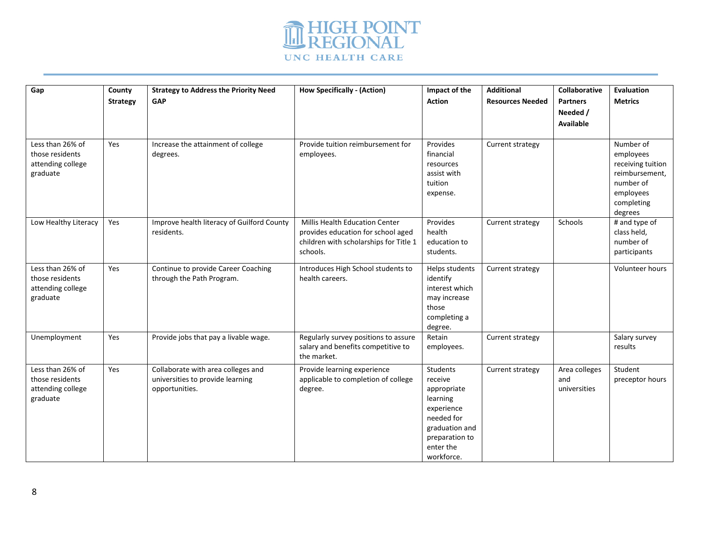

| Gap                                                                  | County<br><b>Strategy</b> | <b>Strategy to Address the Priority Need</b><br>GAP                                      | <b>How Specifically - (Action)</b>                                                                                                | Impact of the<br><b>Action</b>                                                                                                                   | <b>Additional</b><br><b>Resources Needed</b> | <b>Collaborative</b><br><b>Partners</b><br>Needed /<br>Available | Evaluation<br><b>Metrics</b>                                                                                     |
|----------------------------------------------------------------------|---------------------------|------------------------------------------------------------------------------------------|-----------------------------------------------------------------------------------------------------------------------------------|--------------------------------------------------------------------------------------------------------------------------------------------------|----------------------------------------------|------------------------------------------------------------------|------------------------------------------------------------------------------------------------------------------|
| Less than 26% of<br>those residents<br>attending college<br>graduate | Yes                       | Increase the attainment of college<br>degrees.                                           | Provide tuition reimbursement for<br>employees.                                                                                   | Provides<br>financial<br>resources<br>assist with<br>tuition<br>expense.                                                                         | Current strategy                             |                                                                  | Number of<br>employees<br>receiving tuition<br>reimbursement,<br>number of<br>employees<br>completing<br>degrees |
| Low Healthy Literacy                                                 | Yes                       | Improve health literacy of Guilford County<br>residents.                                 | <b>Millis Health Education Center</b><br>provides education for school aged<br>children with scholarships for Title 1<br>schools. | Provides<br>health<br>education to<br>students.                                                                                                  | Current strategy                             | Schools                                                          | # and type of<br>class held,<br>number of<br>participants                                                        |
| Less than 26% of<br>those residents<br>attending college<br>graduate | Yes                       | Continue to provide Career Coaching<br>through the Path Program.                         | Introduces High School students to<br>health careers.                                                                             | Helps students<br>identify<br>interest which<br>may increase<br>those<br>completing a<br>degree.                                                 | Current strategy                             |                                                                  | Volunteer hours                                                                                                  |
| Unemployment                                                         | Yes                       | Provide jobs that pay a livable wage.                                                    | Regularly survey positions to assure<br>salary and benefits competitive to<br>the market.                                         | Retain<br>employees.                                                                                                                             | Current strategy                             |                                                                  | Salary survey<br>results                                                                                         |
| Less than 26% of<br>those residents<br>attending college<br>graduate | Yes                       | Collaborate with area colleges and<br>universities to provide learning<br>opportunities. | Provide learning experience<br>applicable to completion of college<br>degree.                                                     | <b>Students</b><br>receive<br>appropriate<br>learning<br>experience<br>needed for<br>graduation and<br>preparation to<br>enter the<br>workforce. | Current strategy                             | Area colleges<br>and<br>universities                             | Student<br>preceptor hours                                                                                       |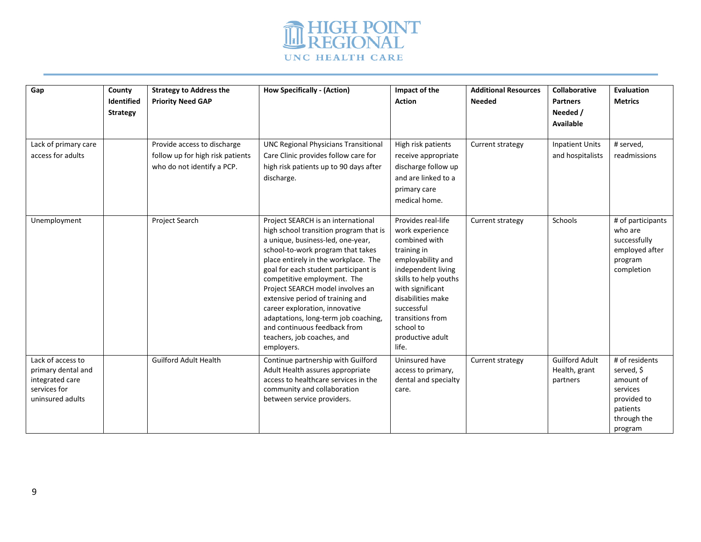

| Gap                                                                                            | County<br><b>Identified</b><br><b>Strategy</b> | <b>Strategy to Address the</b><br><b>Priority Need GAP</b>                                    | <b>How Specifically - (Action)</b>                                                                                                                                                                                                                                                                                                                                                                                                                                                                  | Impact of the<br><b>Action</b>                                                                                                                                                                                                                                 | <b>Additional Resources</b><br><b>Needed</b> | Collaborative<br><b>Partners</b><br>Needed /<br>Available | <b>Evaluation</b><br><b>Metrics</b>                                                                        |
|------------------------------------------------------------------------------------------------|------------------------------------------------|-----------------------------------------------------------------------------------------------|-----------------------------------------------------------------------------------------------------------------------------------------------------------------------------------------------------------------------------------------------------------------------------------------------------------------------------------------------------------------------------------------------------------------------------------------------------------------------------------------------------|----------------------------------------------------------------------------------------------------------------------------------------------------------------------------------------------------------------------------------------------------------------|----------------------------------------------|-----------------------------------------------------------|------------------------------------------------------------------------------------------------------------|
| Lack of primary care<br>access for adults                                                      |                                                | Provide access to discharge<br>follow up for high risk patients<br>who do not identify a PCP. | <b>UNC Regional Physicians Transitional</b><br>Care Clinic provides follow care for<br>high risk patients up to 90 days after<br>discharge.                                                                                                                                                                                                                                                                                                                                                         | High risk patients<br>receive appropriate<br>discharge follow up<br>and are linked to a<br>primary care<br>medical home.                                                                                                                                       | Current strategy                             | <b>Inpatient Units</b><br>and hospitalists                | # served.<br>readmissions                                                                                  |
| Unemployment                                                                                   |                                                | Project Search                                                                                | Project SEARCH is an international<br>high school transition program that is<br>a unique, business-led, one-year,<br>school-to-work program that takes<br>place entirely in the workplace. The<br>goal for each student participant is<br>competitive employment. The<br>Project SEARCH model involves an<br>extensive period of training and<br>career exploration, innovative<br>adaptations, long-term job coaching,<br>and continuous feedback from<br>teachers, job coaches, and<br>employers. | Provides real-life<br>work experience<br>combined with<br>training in<br>employability and<br>independent living<br>skills to help youths<br>with significant<br>disabilities make<br>successful<br>transitions from<br>school to<br>productive adult<br>life. | Current strategy                             | Schools                                                   | # of participants<br>who are<br>successfully<br>employed after<br>program<br>completion                    |
| Lack of access to<br>primary dental and<br>integrated care<br>services for<br>uninsured adults |                                                | <b>Guilford Adult Health</b>                                                                  | Continue partnership with Guilford<br>Adult Health assures appropriate<br>access to healthcare services in the<br>community and collaboration<br>between service providers.                                                                                                                                                                                                                                                                                                                         | Uninsured have<br>access to primary,<br>dental and specialty<br>care.                                                                                                                                                                                          | Current strategy                             | <b>Guilford Adult</b><br>Health, grant<br>partners        | # of residents<br>served, \$<br>amount of<br>services<br>provided to<br>patients<br>through the<br>program |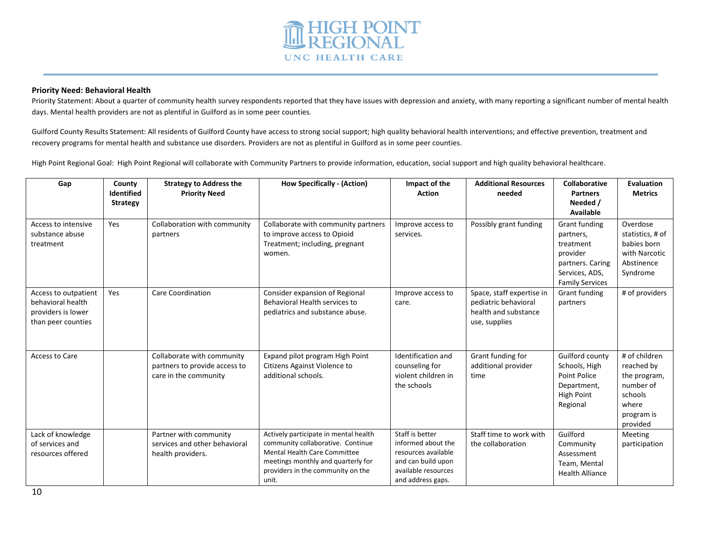

### **Priority Need: Behavioral Health**

Priority Statement: About a quarter of community health survey respondents reported that they have issues with depression and anxiety, with many reporting a significant number of mental health days. Mental health providers are not as plentiful in Guilford as in some peer counties.

Guilford County Results Statement: All residents of Guilford County have access to strong social support; high quality behavioral health interventions; and effective prevention, treatment and recovery programs for mental health and substance use disorders. Providers are not as plentiful in Guilford as in some peer counties.

High Point Regional Goal: High Point Regional will collaborate with Community Partners to provide information, education, social support and high quality behavioral healthcare.

| Gap                                                                                   | County<br><b>Identified</b><br><b>Strategy</b> | <b>Strategy to Address the</b><br><b>Priority Need</b>                               | <b>How Specifically - (Action)</b>                                                                                                                                                                    | Impact of the<br><b>Action</b>                                                                                                 | <b>Additional Resources</b><br>needed                                                      | <b>Collaborative</b><br><b>Partners</b><br>Needed /<br>Available                                                    | <b>Evaluation</b><br><b>Metrics</b>                                                                    |
|---------------------------------------------------------------------------------------|------------------------------------------------|--------------------------------------------------------------------------------------|-------------------------------------------------------------------------------------------------------------------------------------------------------------------------------------------------------|--------------------------------------------------------------------------------------------------------------------------------|--------------------------------------------------------------------------------------------|---------------------------------------------------------------------------------------------------------------------|--------------------------------------------------------------------------------------------------------|
| Access to intensive<br>substance abuse<br>treatment                                   | Yes                                            | Collaboration with community<br>partners                                             | Collaborate with community partners<br>to improve access to Opioid<br>Treatment; including, pregnant<br>women.                                                                                        | Improve access to<br>services.                                                                                                 | Possibly grant funding                                                                     | Grant funding<br>partners,<br>treatment<br>provider<br>partners. Caring<br>Services, ADS,<br><b>Family Services</b> | Overdose<br>statistics, # of<br>babies born<br>with Narcotic<br>Abstinence<br>Syndrome                 |
| Access to outpatient<br>behavioral health<br>providers is lower<br>than peer counties | Yes                                            | Care Coordination                                                                    | Consider expansion of Regional<br>Behavioral Health services to<br>pediatrics and substance abuse.                                                                                                    | Improve access to<br>care.                                                                                                     | Space, staff expertise in<br>pediatric behavioral<br>health and substance<br>use, supplies | Grant funding<br>partners                                                                                           | # of providers                                                                                         |
| Access to Care                                                                        |                                                | Collaborate with community<br>partners to provide access to<br>care in the community | Expand pilot program High Point<br>Citizens Against Violence to<br>additional schools.                                                                                                                | Identification and<br>counseling for<br>violent children in<br>the schools                                                     | Grant funding for<br>additional provider<br>time                                           | Guilford county<br>Schools, High<br>Point Police<br>Department,<br>High Point<br>Regional                           | # of children<br>reached by<br>the program,<br>number of<br>schools<br>where<br>program is<br>provided |
| Lack of knowledge<br>of services and<br>resources offered                             |                                                | Partner with community<br>services and other behavioral<br>health providers.         | Actively participate in mental health<br>community collaborative. Continue<br><b>Mental Health Care Committee</b><br>meetings monthly and quarterly for<br>providers in the community on the<br>unit. | Staff is better<br>informed about the<br>resources available<br>and can build upon<br>available resources<br>and address gaps. | Staff time to work with<br>the collaboration                                               | Guilford<br>Community<br>Assessment<br>Team, Mental<br><b>Health Alliance</b>                                       | Meeting<br>participation                                                                               |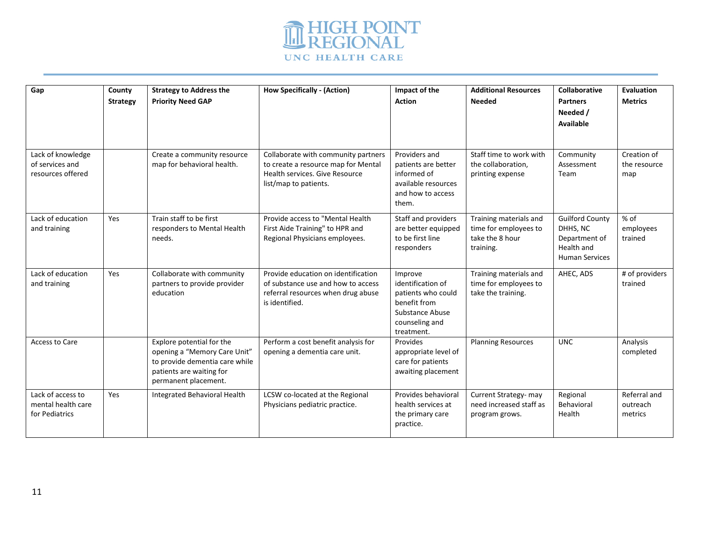

|                                                           |                           |                                                                                                                                                 |                                                                                                                                       |                                                                                                                       | <b>Additional Resources</b>                                                     |                                                                                            |                                     |
|-----------------------------------------------------------|---------------------------|-------------------------------------------------------------------------------------------------------------------------------------------------|---------------------------------------------------------------------------------------------------------------------------------------|-----------------------------------------------------------------------------------------------------------------------|---------------------------------------------------------------------------------|--------------------------------------------------------------------------------------------|-------------------------------------|
| Gap                                                       | County<br><b>Strategy</b> | <b>Strategy to Address the</b><br><b>Priority Need GAP</b>                                                                                      | <b>How Specifically - (Action)</b>                                                                                                    | Impact of the<br><b>Action</b>                                                                                        | <b>Needed</b>                                                                   | Collaborative<br><b>Partners</b><br>Needed /<br>Available                                  | <b>Evaluation</b><br><b>Metrics</b> |
| Lack of knowledge<br>of services and<br>resources offered |                           | Create a community resource<br>map for behavioral health.                                                                                       | Collaborate with community partners<br>to create a resource map for Mental<br>Health services. Give Resource<br>list/map to patients. | Providers and<br>patients are better<br>informed of<br>available resources<br>and how to access<br>them.              | Staff time to work with<br>the collaboration,<br>printing expense               | Community<br>Assessment<br>Team                                                            | Creation of<br>the resource<br>map  |
| Lack of education<br>and training                         | Yes                       | Train staff to be first<br>responders to Mental Health<br>needs.                                                                                | Provide access to "Mental Health<br>First Aide Training" to HPR and<br>Regional Physicians employees.                                 | Staff and providers<br>are better equipped<br>to be first line<br>responders                                          | Training materials and<br>time for employees to<br>take the 8 hour<br>training. | <b>Guilford County</b><br>DHHS, NC<br>Department of<br>Health and<br><b>Human Services</b> | % of<br>employees<br>trained        |
| Lack of education<br>and training                         | Yes                       | Collaborate with community<br>partners to provide provider<br>education                                                                         | Provide education on identification<br>of substance use and how to access<br>referral resources when drug abuse<br>is identified.     | Improve<br>identification of<br>patients who could<br>benefit from<br>Substance Abuse<br>counseling and<br>treatment. | Training materials and<br>time for employees to<br>take the training.           | AHEC, ADS                                                                                  | # of providers<br>trained           |
| Access to Care                                            |                           | Explore potential for the<br>opening a "Memory Care Unit"<br>to provide dementia care while<br>patients are waiting for<br>permanent placement. | Perform a cost benefit analysis for<br>opening a dementia care unit.                                                                  | Provides<br>appropriate level of<br>care for patients<br>awaiting placement                                           | <b>Planning Resources</b>                                                       | <b>UNC</b>                                                                                 | Analysis<br>completed               |
| Lack of access to<br>mental health care<br>for Pediatrics | Yes                       | Integrated Behavioral Health                                                                                                                    | LCSW co-located at the Regional<br>Physicians pediatric practice.                                                                     | Provides behavioral<br>health services at<br>the primary care<br>practice.                                            | Current Strategy- may<br>need increased staff as<br>program grows.              | Regional<br>Behavioral<br>Health                                                           | Referral and<br>outreach<br>metrics |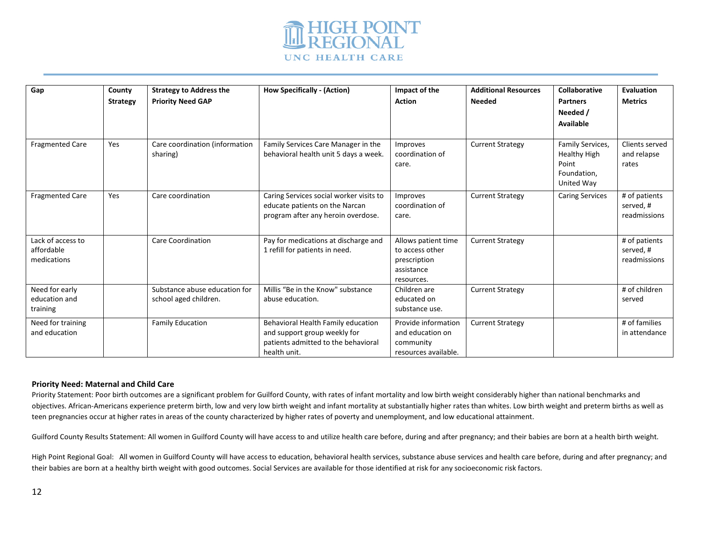

| Gap                                            | County<br><b>Strategy</b> | <b>Strategy to Address the</b><br><b>Priority Need GAP</b> | <b>How Specifically - (Action)</b>                                                                                        | Impact of the<br><b>Action</b>                                                     | <b>Additional Resources</b><br><b>Needed</b> | <b>Collaborative</b><br><b>Partners</b><br>Needed /<br>Available              | Evaluation<br><b>Metrics</b>               |
|------------------------------------------------|---------------------------|------------------------------------------------------------|---------------------------------------------------------------------------------------------------------------------------|------------------------------------------------------------------------------------|----------------------------------------------|-------------------------------------------------------------------------------|--------------------------------------------|
| <b>Fragmented Care</b>                         | Yes                       | Care coordination (information<br>sharing)                 | Family Services Care Manager in the<br>behavioral health unit 5 days a week.                                              | Improves<br>coordination of<br>care.                                               | <b>Current Strategy</b>                      | Family Services,<br><b>Healthy High</b><br>Point<br>Foundation,<br>United Way | Clients served<br>and relapse<br>rates     |
| <b>Fragmented Care</b>                         | Yes                       | Care coordination                                          | Caring Services social worker visits to<br>educate patients on the Narcan<br>program after any heroin overdose.           | Improves<br>coordination of<br>care.                                               | <b>Current Strategy</b>                      | <b>Caring Services</b>                                                        | # of patients<br>served, #<br>readmissions |
| Lack of access to<br>affordable<br>medications |                           | <b>Care Coordination</b>                                   | Pay for medications at discharge and<br>1 refill for patients in need.                                                    | Allows patient time<br>to access other<br>prescription<br>assistance<br>resources. | <b>Current Strategy</b>                      |                                                                               | # of patients<br>served, #<br>readmissions |
| Need for early<br>education and<br>training    |                           | Substance abuse education for<br>school aged children.     | Millis "Be in the Know" substance<br>abuse education.                                                                     | Children are<br>educated on<br>substance use.                                      | <b>Current Strategy</b>                      |                                                                               | # of children<br>served                    |
| Need for training<br>and education             |                           | <b>Family Education</b>                                    | Behavioral Health Family education<br>and support group weekly for<br>patients admitted to the behavioral<br>health unit. | Provide information<br>and education on<br>community<br>resources available.       | <b>Current Strategy</b>                      |                                                                               | # of families<br>in attendance             |

## **Priority Need: Maternal and Child Care**

Priority Statement: Poor birth outcomes are a significant problem for Guilford County, with rates of infant mortality and low birth weight considerably higher than national benchmarks and objectives. African-Americans experience preterm birth, low and very low birth weight and infant mortality at substantially higher rates than whites. Low birth weight and preterm births as well as teen pregnancies occur at higher rates in areas of the county characterized by higher rates of poverty and unemployment, and low educational attainment.

Guilford County Results Statement: All women in Guilford County will have access to and utilize health care before, during and after pregnancy; and their babies are born at a health birth weight.

High Point Regional Goal: All women in Guilford County will have access to education, behavioral health services, substance abuse services and health care before, during and after pregnancy; and their babies are born at a healthy birth weight with good outcomes. Social Services are available for those identified at risk for any socioeconomic risk factors.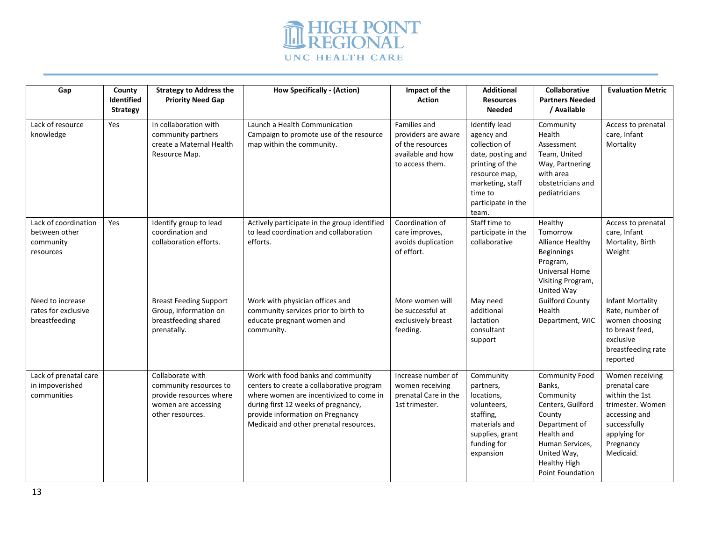

| Gap                                                             | County<br>Identified<br><b>Strategy</b> | <b>Strategy to Address the</b><br><b>Priority Need Gap</b>                                                       | <b>How Specifically - (Action)</b>                                                                                                                                                                                                              | Impact of the<br><b>Action</b>                                                                  | <b>Additional</b><br><b>Resources</b><br><b>Needed</b>                                                                                                                     | <b>Collaborative</b><br><b>Partners Needed</b><br>/ Available                                                                                                                           | <b>Evaluation Metric</b>                                                                                                                          |
|-----------------------------------------------------------------|-----------------------------------------|------------------------------------------------------------------------------------------------------------------|-------------------------------------------------------------------------------------------------------------------------------------------------------------------------------------------------------------------------------------------------|-------------------------------------------------------------------------------------------------|----------------------------------------------------------------------------------------------------------------------------------------------------------------------------|-----------------------------------------------------------------------------------------------------------------------------------------------------------------------------------------|---------------------------------------------------------------------------------------------------------------------------------------------------|
| Lack of resource<br>knowledge                                   | Yes                                     | In collaboration with<br>community partners<br>create a Maternal Health<br>Resource Map.                         | Launch a Health Communication<br>Campaign to promote use of the resource<br>map within the community.                                                                                                                                           | Families and<br>providers are aware<br>of the resources<br>available and how<br>to access them. | <b>Identify lead</b><br>agency and<br>collection of<br>date, posting and<br>printing of the<br>resource map,<br>marketing, staff<br>time to<br>participate in the<br>team. | Community<br>Health<br>Assessment<br>Team, United<br>Way, Partnering<br>with area<br>obstetricians and<br>pediatricians                                                                 | Access to prenatal<br>care, Infant<br>Mortality                                                                                                   |
| Lack of coordination<br>between other<br>community<br>resources | Yes                                     | Identify group to lead<br>coordination and<br>collaboration efforts.                                             | Actively participate in the group identified<br>to lead coordination and collaboration<br>efforts.                                                                                                                                              | Coordination of<br>care improves,<br>avoids duplication<br>of effort.                           | Staff time to<br>participate in the<br>collaborative                                                                                                                       | Healthy<br>Tomorrow<br>Alliance Healthy<br>Beginnings<br>Program,<br><b>Universal Home</b><br>Visiting Program,<br>United Way                                                           | Access to prenatal<br>care, Infant<br>Mortality, Birth<br>Weight                                                                                  |
| Need to increase<br>rates for exclusive<br>breastfeeding        |                                         | <b>Breast Feeding Support</b><br>Group, information on<br>breastfeeding shared<br>prenatally.                    | Work with physician offices and<br>community services prior to birth to<br>educate pregnant women and<br>community.                                                                                                                             | More women will<br>be successful at<br>exclusively breast<br>feeding.                           | May need<br>additional<br>lactation<br>consultant<br>support                                                                                                               | <b>Guilford County</b><br>Health<br>Department, WIC                                                                                                                                     | <b>Infant Mortality</b><br>Rate, number of<br>women choosing<br>to breast feed,<br>exclusive<br>breastfeeding rate<br>reported                    |
| Lack of prenatal care<br>in impoverished<br>communities         |                                         | Collaborate with<br>community resources to<br>provide resources where<br>women are accessing<br>other resources. | Work with food banks and community<br>centers to create a collaborative program<br>where women are incentivized to come in<br>during first 12 weeks of pregnancy,<br>provide information on Pregnancy<br>Medicaid and other prenatal resources. | Increase number of<br>women receiving<br>prenatal Care in the<br>1st trimester.                 | Community<br>partners,<br>locations,<br>volunteers,<br>staffing,<br>materials and<br>supplies, grant<br>funding for<br>expansion                                           | <b>Community Food</b><br>Banks,<br>Community<br>Centers, Guilford<br>County<br>Department of<br>Health and<br>Human Services,<br>United Way,<br><b>Healthy High</b><br>Point Foundation | Women receiving<br>prenatal care<br>within the 1st<br>trimester. Women<br>accessing and<br>successfully<br>applying for<br>Pregnancy<br>Medicaid. |